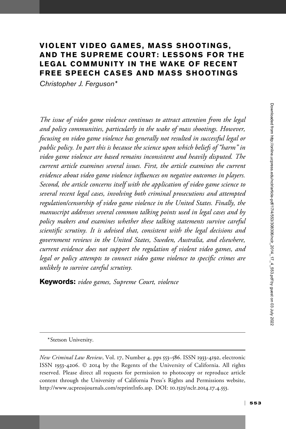# VIOLENT VIDEO GAMES, MASS SHOOTINGS, AND THE SUPREME COURT: LESSONS FOR THE LEGAL COMMUNITY IN THE WAKE OF RECENT FREE SPEECH CASES AND MASS SHOOTINGS

Christopher J. Ferguson\*

The issue of video game violence continues to attract attention from the legal and policy communities, particularly in the wake of mass shootings. However, focusing on video game violence has generally not resulted in successful legal or public policy. In part this is because the science upon which beliefs of ''harm'' in video game violence are based remains inconsistent and heavily disputed. The current article examines several issues. First, the article examines the current evidence about video game violence influences on negative outcomes in players. Second, the article concerns itself with the application of video game science to several recent legal cases, involving both criminal prosecutions and attempted regulation/censorship of video game violence in the United States. Finally, the manuscript addresses several common talking points used in legal cases and by policy makers and examines whether these talking statements survive careful scientific scrutiny. It is advised that, consistent with the legal decisions and government reviews in the United States, Sweden, Australia, and elsewhere, current evidence does not support the regulation of violent video games, and legal or policy attempts to connect video game violence to specific crimes are unlikely to survive careful scrutiny.

Keywords: video games, Supreme Court, violence

Downloaded from http://online.ucpress.edu/nclr/article-pdf1774/553/308306/nclr\_2014\_17\_4\_563.pdf by guest on 03 July 2022 Downloaded from http://online.ucpress.edu/nclr/article-pdf/17/4/553/308306/nclr\_2014\_17\_4\_553.pdf by guest on 03 July 2022

<sup>\*</sup>Stetson University.

New Criminal Law Review, Vol. 17, Number 4, pps 553–586. ISSN 1933-4192, electronic ISSN 1933-4206. © 2014 by the Regents of the University of California. All rights reserved. Please direct all requests for permission to photocopy or reproduce article content through the University of California Press's Rights and Permissions website, http://www.ucpressjournals.com/reprintInfo.asp. DOI: 10.1525/nclr.2014.17.4.553.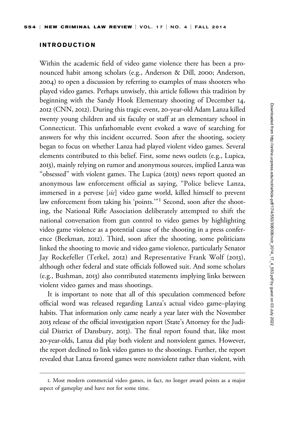#### INTRODUCTION

Within the academic field of video game violence there has been a pronounced habit among scholars (e.g., Anderson & Dill, 2000; Anderson, 2004) to open a discussion by referring to examples of mass shooters who played video games. Perhaps unwisely, this article follows this tradition by beginning with the Sandy Hook Elementary shooting of December 14, 2012 (CNN, 2012). During this tragic event, 20-year-old Adam Lanza killed twenty young children and six faculty or staff at an elementary school in Connecticut. This unfathomable event evoked a wave of searching for answers for why this incident occurred. Soon after the shooting, society began to focus on whether Lanza had played violent video games. Several elements contributed to this belief. First, some news outlets (e.g., Lupica, 2013), mainly relying on rumor and anonymous sources, implied Lanza was "obsessed" with violent games. The Lupica (2013) news report quoted an anonymous law enforcement official as saying, ''Police believe Lanza, immersed in a pervese [sic] video game world, killed himself to prevent law enforcement from taking his 'points."<sup>1</sup> Second, soon after the shooting, the National Rifle Association deliberately attempted to shift the national conversation from gun control to video games by highlighting video game violence as a potential cause of the shooting in a press conference (Beekman, 2012). Third, soon after the shooting, some politicians linked the shooting to movie and video game violence, particularly Senator Jay Rockefeller (Terkel, 2012) and Representative Frank Wolf (2013), although other federal and state officials followed suit. And some scholars (e.g., Bushman, 2013) also contributed statements implying links between violent video games and mass shootings.

It is important to note that all of this speculation commenced before official word was released regarding Lanza's actual video game–playing habits. That information only came nearly a year later with the November 2013 release of the official investigation report (State's Attorney for the Judicial District of Dansbury, 2013). The final report found that, like most 20-year-olds, Lanza did play both violent and nonviolent games. However, the report declined to link video games to the shootings. Further, the report revealed that Lanza favored games were nonviolent rather than violent, with

<sup>1.</sup> Most modern commercial video games, in fact, no longer award points as a major aspect of gameplay and have not for some time.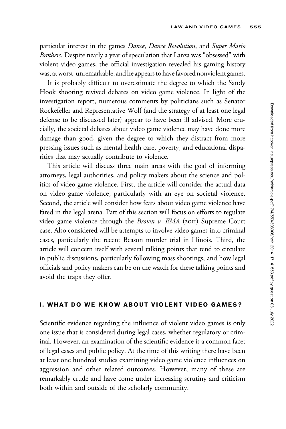particular interest in the games Dance, Dance Revolution, and Super Mario Brothers. Despite nearly a year of speculation that Lanza was ''obsessed'' with violent video games, the official investigation revealed his gaming history was, atworst, unremarkable, and he appears to have favored nonviolent games.

It is probably difficult to overestimate the degree to which the Sandy Hook shooting revived debates on video game violence. In light of the investigation report, numerous comments by politicians such as Senator Rockefeller and Representative Wolf (and the strategy of at least one legal defense to be discussed later) appear to have been ill advised. More crucially, the societal debates about video game violence may have done more damage than good, given the degree to which they distract from more pressing issues such as mental health care, poverty, and educational disparities that may actually contribute to violence.

This article will discuss three main areas with the goal of informing attorneys, legal authorities, and policy makers about the science and politics of video game violence. First, the article will consider the actual data on video game violence, particularly with an eye on societal violence. Second, the article will consider how fears about video game violence have fared in the legal arena. Part of this section will focus on efforts to regulate video game violence through the Brown v. EMA (2011) Supreme Court case. Also considered will be attempts to involve video games into criminal cases, particularly the recent Beason murder trial in Illinois. Third, the article will concern itself with several talking points that tend to circulate in public discussions, particularly following mass shootings, and how legal officials and policy makers can be on the watch for these talking points and avoid the traps they offer.

### I. WHAT DO WE KNOW ABOUT VIOLENT VIDEO GAMES?

Scientific evidence regarding the influence of violent video games is only one issue that is considered during legal cases, whether regulatory or criminal. However, an examination of the scientific evidence is a common facet of legal cases and public policy. At the time of this writing there have been at least one hundred studies examining video game violence influences on aggression and other related outcomes. However, many of these are remarkably crude and have come under increasing scrutiny and criticism both within and outside of the scholarly community.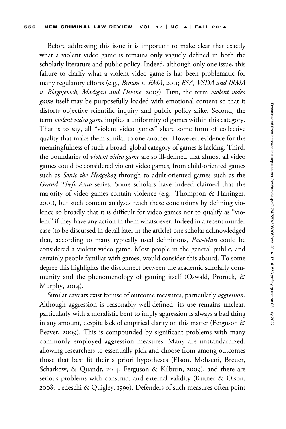Before addressing this issue it is important to make clear that exactly what a violent video game is remains only vaguely defined in both the scholarly literature and public policy. Indeed, although only one issue, this failure to clarify what a violent video game is has been problematic for many regulatory efforts (e.g., Brown v. EMA, 2011; ESA, VSDA and IRMA v. Blagojevich, Madigan and Devine, 2005). First, the term violent video game itself may be purposefully loaded with emotional content so that it distorts objective scientific inquiry and public policy alike. Second, the term violent video game implies a uniformity of games within this category. That is to say, all ''violent video games'' share some form of collective quality that make them similar to one another. However, evidence for the meaningfulness of such a broad, global category of games is lacking. Third, the boundaries of *violent video game* are so ill-defined that almost all video games could be considered violent video games, from child-oriented games such as Sonic the Hedgehog through to adult-oriented games such as the Grand Theft Auto series. Some scholars have indeed claimed that the majority of video games contain violence (e.g., Thompson & Haninger, 2001), but such content analyses reach these conclusions by defining violence so broadly that it is difficult for video games not to qualify as ''violent'' if they have any action in them whatsoever. Indeed in a recent murder case (to be discussed in detail later in the article) one scholar acknowledged that, according to many typically used definitions, Pac-Man could be considered a violent video game. Most people in the general public, and certainly people familiar with games, would consider this absurd. To some degree this highlights the disconnect between the academic scholarly community and the phenomenology of gaming itself (Oswald, Prorock, & Murphy, 2014).

Similar caveats exist for use of outcome measures, particularly *aggression*. Although aggression is reasonably well-defined, its use remains unclear, particularly with a moralistic bent to imply aggression is always a bad thing in any amount, despite lack of empirical clarity on this matter (Ferguson & Beaver, 2009). This is compounded by significant problems with many commonly employed aggression measures. Many are unstandardized, allowing researchers to essentially pick and choose from among outcomes those that best fit their a priori hypotheses (Elson, Mohseni, Breuer, Scharkow, & Quandt, 2014; Ferguson & Kilburn, 2009), and there are serious problems with construct and external validity (Kutner & Olson, 2008; Tedeschi & Quigley, 1996). Defenders of such measures often point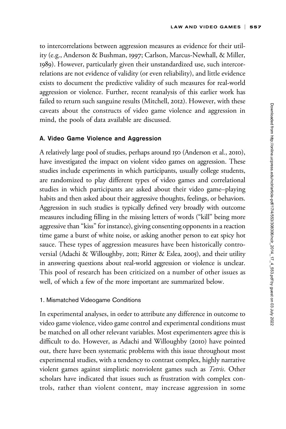to intercorrelations between aggression measures as evidence for their utility (e.g., Anderson & Bushman, 1997; Carlson, Marcus-Newhall, & Miller, 1989). However, particularly given their unstandardized use, such intercorrelations are not evidence of validity (or even reliability), and little evidence exists to document the predictive validity of such measures for real-world aggression or violence. Further, recent reanalysis of this earlier work has failed to return such sanguine results (Mitchell, 2012). However, with these caveats about the constructs of video game violence and aggression in mind, the pools of data available are discussed.

## A. Video Game Violence and Aggression

A relatively large pool of studies, perhaps around 150 (Anderson et al., 2010), have investigated the impact on violent video games on aggression. These studies include experiments in which participants, usually college students, are randomized to play different types of video games and correlational studies in which participants are asked about their video game–playing habits and then asked about their aggressive thoughts, feelings, or behaviors. Aggression in such studies is typically defined very broadly with outcome measures including filling in the missing letters of words ("kill" being more aggressive than ''kiss'' for instance), giving consenting opponents in a reaction time game a burst of white noise, or asking another person to eat spicy hot sauce. These types of aggression measures have been historically controversial (Adachi & Willoughby, 2011; Ritter & Eslea, 2005), and their utility in answering questions about real-world aggression or violence is unclear. This pool of research has been criticized on a number of other issues as well, of which a few of the more important are summarized below.

## 1. Mismatched Videogame Conditions

In experimental analyses, in order to attribute any difference in outcome to video game violence, video game control and experimental conditions must be matched on all other relevant variables. Most experimenters agree this is difficult to do. However, as Adachi and Willoughby (2010) have pointed out, there have been systematic problems with this issue throughout most experimental studies, with a tendency to contrast complex, highly narrative violent games against simplistic nonviolent games such as Tetris. Other scholars have indicated that issues such as frustration with complex controls, rather than violent content, may increase aggression in some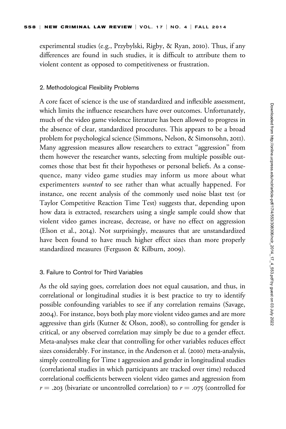experimental studies (e.g., Przybylski, Rigby, & Ryan, 2010). Thus, if any differences are found in such studies, it is difficult to attribute them to violent content as opposed to competitiveness or frustration.

#### 2. Methodological Flexibility Problems

A core facet of science is the use of standardized and inflexible assessment, which limits the influence researchers have over outcomes. Unfortunately, much of the video game violence literature has been allowed to progress in the absence of clear, standardized procedures. This appears to be a broad problem for psychological science (Simmons, Nelson, & Simonsohn, 2011). Many aggression measures allow researchers to extract ''aggression'' from them however the researcher wants, selecting from multiple possible outcomes those that best fit their hypotheses or personal beliefs. As a consequence, many video game studies may inform us more about what experimenters *wanted* to see rather than what actually happened. For instance, one recent analysis of the commonly used noise blast test (or Taylor Competitive Reaction Time Test) suggests that, depending upon how data is extracted, researchers using a single sample could show that violent video games increase, decrease, or have no effect on aggression (Elson et al., 2014). Not surprisingly, measures that are unstandardized have been found to have much higher effect sizes than more properly standardized measures (Ferguson & Kilburn, 2009).

### 3. Failure to Control for Third Variables

As the old saying goes, correlation does not equal causation, and thus, in correlational or longitudinal studies it is best practice to try to identify possible confounding variables to see if any correlation remains (Savage, 2004). For instance, boys both play more violent video games and are more aggressive than girls (Kutner & Olson, 2008), so controlling for gender is critical, or any observed correlation may simply be due to a gender effect. Meta-analyses make clear that controlling for other variables reduces effect sizes considerably. For instance, in the Anderson et al. (2010) meta-analysis, simply controlling for Time 1 aggression and gender in longitudinal studies (correlational studies in which participants are tracked over time) reduced correlational coefficients between violent video games and aggression from  $r = .203$  (bivariate or uncontrolled correlation) to  $r = .075$  (controlled for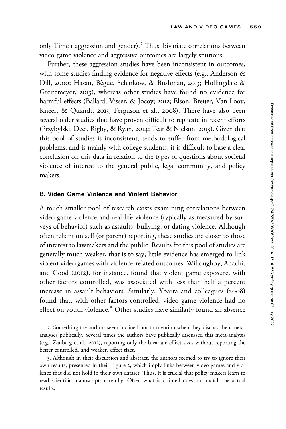only Time 1 aggression and gender).<sup>2</sup> Thus, bivariate correlations between video game violence and aggressive outcomes are largely spurious.

Further, these aggression studies have been inconsistent in outcomes, with some studies finding evidence for negative effects (e.g., Anderson & Dill, 2000; Hasan, Bègue, Scharkow, & Bushman, 2013; Hollingdale & Greitemeyer, 2013), whereas other studies have found no evidence for harmful effects (Ballard, Visser, & Jocoy; 2012; Elson, Breuer, Van Looy, Kneer, & Quandt, 2013; Ferguson et al., 2008). There have also been several older studies that have proven difficult to replicate in recent efforts (Przybylski, Deci, Rigby, & Ryan, 2014; Tear & Nielson, 2013). Given that this pool of studies is inconsistent, tends to suffer from methodological problems, and is mainly with college students, it is difficult to base a clear conclusion on this data in relation to the types of questions about societal violence of interest to the general public, legal community, and policy makers.

#### B. Video Game Violence and Violent Behavior

A much smaller pool of research exists examining correlations between video game violence and real-life violence (typically as measured by surveys of behavior) such as assaults, bullying, or dating violence. Although often reliant on self (or parent) reporting, these studies are closer to those of interest to lawmakers and the public. Results for this pool of studies are generally much weaker, that is to say, little evidence has emerged to link violent video games with violence-related outcomes. Willoughby, Adachi, and Good (2012), for instance, found that violent game exposure, with other factors controlled, was associated with less than half a percent increase in assault behaviors. Similarly, Ybarra and colleagues (2008) found that, with other factors controlled, video game violence had no effect on youth violence.<sup>3</sup> Other studies have similarly found an absence

<sup>2.</sup> Something the authors seem inclined not to mention when they discuss their metaanalyses publically. Several times the authors have publically discussed this meta-analysis (e.g., Zanberg et al., 2012), reporting only the bivariate effect sizes without reporting the better controlled, and weaker, effect sizes.

<sup>3.</sup> Although in their discussion and abstract, the authors seemed to try to ignore their own results, presented in their Figure 2, which imply links between video games and violence that did not hold in their own dataset. Thus, it is crucial that policy makers learn to read scientific manuscripts carefully. Often what is claimed does not match the actual results.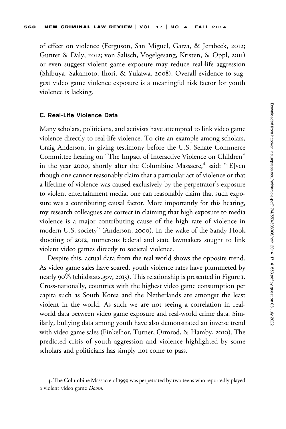of effect on violence (Ferguson, San Miguel, Garza, & Jerabeck, 2012; Gunter & Daly, 2012; von Salisch, Vogelgesang, Kristen, & Oppl, 2011) or even suggest violent game exposure may reduce real-life aggression (Shibuya, Sakamoto, Ihori, & Yukawa, 2008). Overall evidence to suggest video game violence exposure is a meaningful risk factor for youth violence is lacking.

#### C. Real-Life Violence Data

Many scholars, politicians, and activists have attempted to link video game violence directly to real-life violence. To cite an example among scholars, Craig Anderson, in giving testimony before the U.S. Senate Commerce Committee hearing on ''The Impact of Interactive Violence on Children'' in the year 2000, shortly after the Columbine Massacre,<sup>4</sup> said: "[E]ven though one cannot reasonably claim that a particular act of violence or that a lifetime of violence was caused exclusively by the perpetrator's exposure to violent entertainment media, one can reasonably claim that such exposure was a contributing causal factor. More importantly for this hearing, my research colleagues are correct in claiming that high exposure to media violence is a major contributing cause of the high rate of violence in modern U.S. society'' (Anderson, 2000). In the wake of the Sandy Hook shooting of 2012, numerous federal and state lawmakers sought to link violent video games directly to societal violence.

Despite this, actual data from the real world shows the opposite trend. As video game sales have soared, youth violence rates have plummeted by nearly 90% (childstats.gov, 2013). This relationship is presented in Figure 1. Cross-nationally, countries with the highest video game consumption per capita such as South Korea and the Netherlands are amongst the least violent in the world. As such we are not seeing a correlation in realworld data between video game exposure and real-world crime data. Similarly, bullying data among youth have also demonstrated an inverse trend with video game sales (Finkelhor, Turner, Ormrod, & Hamby, 2010). The predicted crisis of youth aggression and violence highlighted by some scholars and politicians has simply not come to pass.

<sup>4.</sup> The Columbine Massacre of 1999 was perpetrated by two teens who reportedly played a violent video game Doom.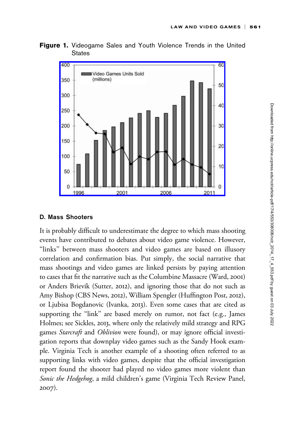

Figure 1. Videogame Sales and Youth Violence Trends in the United **States** 

# D. Mass Shooters

It is probably difficult to underestimate the degree to which mass shooting events have contributed to debates about video game violence. However, "links" between mass shooters and video games are based on illusory correlation and confirmation bias. Put simply, the social narrative that mass shootings and video games are linked persists by paying attention to cases that fit the narrative such as the Columbine Massacre (Ward, 2001) or Anders Brievik (Sutter, 2012), and ignoring those that do not such as Amy Bishop (CBS News, 2012), William Spengler (Huffington Post, 2012), or Ljubisa Bogdanovic (Ivanka, 2013). Even some cases that are cited as supporting the "link" are based merely on rumor, not fact (e.g., James Holmes; see Sickles, 2013, where only the relatively mild strategy and RPG games Starcraft and Oblivion were found), or may ignore official investigation reports that downplay video games such as the Sandy Hook example. Virginia Tech is another example of a shooting often referred to as supporting links with video games, despite that the official investigation report found the shooter had played no video games more violent than Sonic the Hedgehog, a mild children's game (Virginia Tech Review Panel, 2007).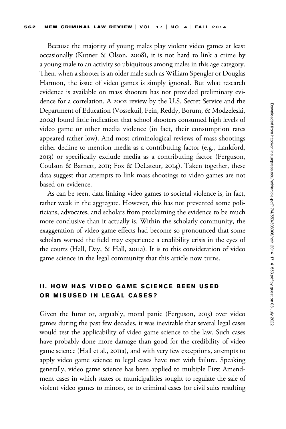Because the majority of young males play violent video games at least occasionally (Kutner & Olson, 2008), it is not hard to link a crime by a young male to an activity so ubiquitous among males in this age category. Then, when a shooter is an older male such as William Spengler or Douglas Harmon, the issue of video games is simply ignored. But what research evidence is available on mass shooters has not provided preliminary evidence for a correlation. A 2002 review by the U.S. Secret Service and the Department of Education (Vossekuil, Fein, Reddy, Borum, & Modzeleski, 2002) found little indication that school shooters consumed high levels of video game or other media violence (in fact, their consumption rates appeared rather low). And most criminological reviews of mass shootings either decline to mention media as a contributing factor (e.g., Lankford, 2013) or specifically exclude media as a contributing factor (Ferguson, Coulson & Barnett, 2011; Fox & DeLateur, 2014). Taken together, these data suggest that attempts to link mass shootings to video games are not based on evidence.

As can be seen, data linking video games to societal violence is, in fact, rather weak in the aggregate. However, this has not prevented some politicians, advocates, and scholars from proclaiming the evidence to be much more conclusive than it actually is. Within the scholarly community, the exaggeration of video game effects had become so pronounced that some scholars warned the field may experience a credibility crisis in the eyes of the courts (Hall, Day, & Hall, 2011a). It is to this consideration of video game science in the legal community that this article now turns.

# II. HOW HAS VIDEO GAME SCIENCE BEEN USED OR MISUSED IN LEGAL CASES?

Given the furor or, arguably, moral panic (Ferguson, 2013) over video games during the past few decades, it was inevitable that several legal cases would test the applicability of video game science to the law. Such cases have probably done more damage than good for the credibility of video game science (Hall et al., 2011a), and with very few exceptions, attempts to apply video game science to legal cases have met with failure. Speaking generally, video game science has been applied to multiple First Amendment cases in which states or municipalities sought to regulate the sale of violent video games to minors, or to criminal cases (or civil suits resulting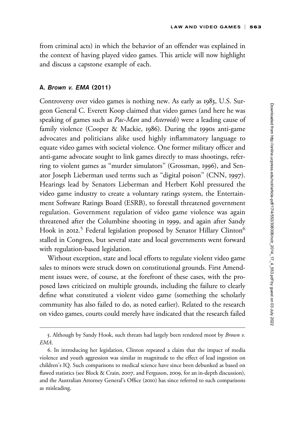from criminal acts) in which the behavior of an offender was explained in the context of having played video games. This article will now highlight and discuss a capstone example of each.

### A. Brown v. EMA (2011)

Controversy over video games is nothing new. As early as 1983, U.S. Surgeon General C. Everett Koop claimed that video games (and here he was speaking of games such as *Pac-Man* and *Asteroids*) were a leading cause of family violence (Cooper & Mackie, 1986). During the 1990s anti-game advocates and politicians alike used highly inflammatory language to equate video games with societal violence. One former military officer and anti-game advocate sought to link games directly to mass shootings, referring to violent games as ''murder simulators'' (Grossman, 1996), and Senator Joseph Lieberman used terms such as ''digital poison'' (CNN, 1997). Hearings lead by Senators Lieberman and Herbert Kohl pressured the video game industry to create a voluntary ratings system, the Entertainment Software Ratings Board (ESRB), to forestall threatened government regulation. Government regulation of video game violence was again threatened after the Columbine shooting in 1999, and again after Sandy Hook in 2012.<sup>5</sup> Federal legislation proposed by Senator Hillary Clinton<sup>6</sup> stalled in Congress, but several state and local governments went forward with regulation-based legislation.

Without exception, state and local efforts to regulate violent video game sales to minors were struck down on constitutional grounds. First Amendment issues were, of course, at the forefront of these cases, with the proposed laws criticized on multiple grounds, including the failure to clearly define what constituted a violent video game (something the scholarly community has also failed to do, as noted earlier). Related to the research on video games, courts could merely have indicated that the research failed

<sup>5.</sup> Although by Sandy Hook, such threats had largely been rendered moot by Brown v. EMA.

<sup>6.</sup> In introducing her legislation, Clinton repeated a claim that the impact of media violence and youth aggression was similar in magnitude to the effect of lead ingestion on children's IQ. Such comparisons to medical science have since been debunked as based on flawed statistics (see Block & Crain, 2007, and Ferguson, 2009, for an in-depth discussion), and the Australian Attorney General's Office (2010) has since referred to such comparisons as misleading.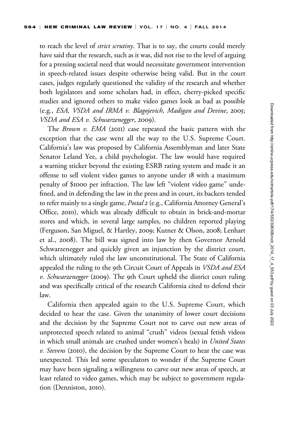to reach the level of *strict scrutiny*. That is to say, the courts could merely have said that the research, such as it was, did not rise to the level of arguing for a pressing societal need that would necessitate government intervention in speech-related issues despite otherwise being valid. But in the court cases, judges regularly questioned the validity of the research and whether both legislators and some scholars had, in effect, cherry-picked specific studies and ignored others to make video games look as bad as possible (e.g., ESA, VSDA and IRMA v. Blagojevich, Madigan and Devine, 2005; VSDA and ESA v. Schwarzenegger, 2009).

The *Brown v. EMA* (2011) case repeated the basic pattern with the exception that the case went all the way to the U.S. Supreme Court. California's law was proposed by California Assemblyman and later State Senator Leland Yee, a child psychologist. The law would have required a warning sticker beyond the existing ESRB rating system and made it an offense to sell violent video games to anyone under 18 with a maximum penalty of \$1000 per infraction. The law left ''violent video game'' undefined, and in defending the law in the press and in court, its backers tended to refer mainly to a single game, Postal 2 (e.g., California Attorney General's Office, 2010), which was already difficult to obtain in brick-and-mortar stores and which, in several large samples, no children reported playing (Ferguson, San Miguel, & Hartley, 2009; Kutner & Olson, 2008; Lenhart et al., 2008). The bill was signed into law by then Governor Arnold Schwarzenegger and quickly given an injunction by the district court, which ultimately ruled the law unconstitutional. The State of California appealed the ruling to the 9th Circuit Court of Appeals in *VSDA and ESA* v. Schwarzenegger (2009). The 9th Court upheld the district court ruling and was specifically critical of the research California cited to defend their law.

California then appealed again to the U.S. Supreme Court, which decided to hear the case. Given the unanimity of lower court decisions and the decision by the Supreme Court not to carve out new areas of unprotected speech related to animal "crush" videos (sexual fetish videos in which small animals are crushed under women's heals) in United States v. Stevens (2010), the decision by the Supreme Court to hear the case was unexpected. This led some speculators to wonder if the Supreme Court may have been signaling a willingness to carve out new areas of speech, at least related to video games, which may be subject to government regulation (Denniston, 2010).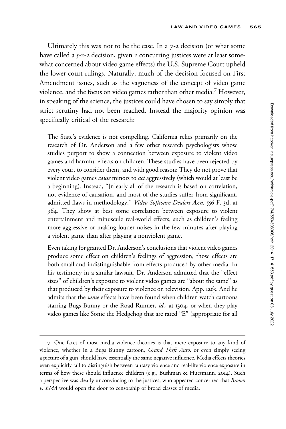Ultimately this was not to be the case. In a 7-2 decision (or what some have called a 5-2-2 decision, given 2 concurring justices were at least somewhat concerned about video game effects) the U.S. Supreme Court upheld the lower court rulings. Naturally, much of the decision focused on First Amendment issues, such as the vagueness of the concept of video game violence, and the focus on video games rather than other media.<sup>7</sup> However, in speaking of the science, the justices could have chosen to say simply that strict scrutiny had not been reached. Instead the majority opinion was specifically critical of the research:

The State's evidence is not compelling. California relies primarily on the research of Dr. Anderson and a few other research psychologists whose studies purport to show a connection between exposure to violent video games and harmful effects on children. These studies have been rejected by every court to consider them, and with good reason: They do not prove that violent video games cause minors to act aggressively (which would at least be a beginning). Instead, ''[n]early all of the research is based on correlation, not evidence of causation, and most of the studies suffer from significant, admitted flaws in methodology." Video Software Dealers Assn. 556 F. 3d, at 964. They show at best some correlation between exposure to violent entertainment and minuscule real-world effects, such as children's feeling more aggressive or making louder noises in the few minutes after playing a violent game than after playing a nonviolent game.

Even taking for granted Dr. Anderson's conclusions that violent video games produce some effect on children's feelings of aggression, those effects are both small and indistinguishable from effects produced by other media. In his testimony in a similar lawsuit, Dr. Anderson admitted that the "effect sizes'' of children's exposure to violent video games are ''about the same'' as that produced by their exposure to violence on television. App. 1263. And he admits that the *same* effects have been found when children watch cartoons starring Bugs Bunny or the Road Runner, id., at 1304, or when they play video games like Sonic the Hedgehog that are rated ''E'' (appropriate for all

<sup>7.</sup> One facet of most media violence theories is that mere exposure to any kind of violence, whether in a Bugs Bunny cartoon, Grand Theft Auto, or even simply seeing a picture of a gun, should have essentially the same negative influence. Media effects theories even explicitly fail to distinguish between fantasy violence and real-life violence exposure in terms of how these should influence children (e.g., Bushman & Huesmann, 2014). Such a perspective was clearly unconvincing to the justices, who appeared concerned that Brown v. EMA would open the door to censorship of broad classes of media.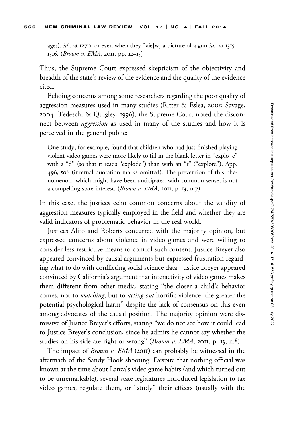ages), id., at 1270, or even when they "vie[w] a picture of a gun id., at 1315– 1316. (*Brown v. EMA*, 2011, pp. 12–13)

Thus, the Supreme Court expressed skepticism of the objectivity and breadth of the state's review of the evidence and the quality of the evidence cited.

Echoing concerns among some researchers regarding the poor quality of aggression measures used in many studies (Ritter & Eslea, 2005; Savage, 2004; Tedeschi & Quigley, 1996), the Supreme Court noted the disconnect between *aggression* as used in many of the studies and how it is perceived in the general public:

One study, for example, found that children who had just finished playing violent video games were more likely to fill in the blank letter in "explo\_e" with a "d" (so that it reads "explode") than with an "r" ("explore"). App. 496, 506 (internal quotation marks omitted). The prevention of this phenomenon, which might have been anticipated with common sense, is not a compelling state interest. (*Brown v. EMA*, 2011, p. 13, n.7)

In this case, the justices echo common concerns about the validity of aggression measures typically employed in the field and whether they are valid indicators of problematic behavior in the real world.

Justices Alito and Roberts concurred with the majority opinion, but expressed concerns about violence in video games and were willing to consider less restrictive means to control such content. Justice Breyer also appeared convinced by causal arguments but expressed frustration regarding what to do with conflicting social science data. Justice Breyer appeared convinced by California's argument that interactivity of video games makes them different from other media, stating ''the closer a child's behavior comes, not to *watching*, but to *acting out* horrific violence, the greater the potential psychological harm'' despite the lack of consensus on this even among advocates of the causal position. The majority opinion were dismissive of Justice Breyer's efforts, stating ''we do not see how it could lead to Justice Breyer's conclusion, since he admits he cannot say whether the studies on his side are right or wrong" (Brown v. EMA, 2011, p. 13, n.8).

The impact of *Brown v. EMA* (2011) can probably be witnessed in the aftermath of the Sandy Hook shooting. Despite that nothing official was known at the time about Lanza's video game habits (and which turned out to be unremarkable), several state legislatures introduced legislation to tax video games, regulate them, or ''study'' their effects (usually with the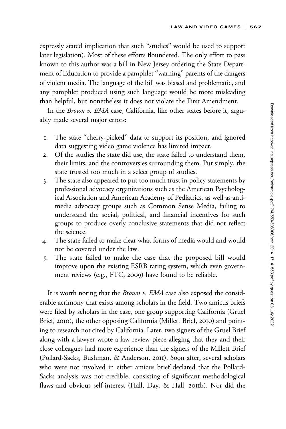expressly stated implication that such ''studies'' would be used to support later legislation). Most of these efforts floundered. The only effort to pass known to this author was a bill in New Jersey ordering the State Department of Education to provide a pamphlet ''warning'' parents of the dangers of violent media. The language of the bill was biased and problematic, and any pamphlet produced using such language would be more misleading than helpful, but nonetheless it does not violate the First Amendment.

In the *Brown v. EMA* case, California, like other states before it, arguably made several major errors:

- 1. The state ''cherry-picked'' data to support its position, and ignored data suggesting video game violence has limited impact.
- 2. Of the studies the state did use, the state failed to understand them, their limits, and the controversies surrounding them. Put simply, the state trusted too much in a select group of studies.
- 3. The state also appeared to put too much trust in policy statements by professional advocacy organizations such as the American Psychological Association and American Academy of Pediatrics, as well as antimedia advocacy groups such as Common Sense Media, failing to understand the social, political, and financial incentives for such groups to produce overly conclusive statements that did not reflect the science.
- 4. The state failed to make clear what forms of media would and would not be covered under the law.
- 5. The state failed to make the case that the proposed bill would improve upon the existing ESRB rating system, which even government reviews (e.g., FTC, 2009) have found to be reliable.

It is worth noting that the *Brown v. EMA* case also exposed the considerable acrimony that exists among scholars in the field. Two amicus briefs were filed by scholars in the case, one group supporting California (Gruel Brief, 2010), the other opposing California (Millett Brief, 2010) and pointing to research not cited by California. Later, two signers of the Gruel Brief along with a lawyer wrote a law review piece alleging that they and their close colleagues had more experience than the signers of the Millett Brief (Pollard-Sacks, Bushman, & Anderson, 2011). Soon after, several scholars who were not involved in either amicus brief declared that the Pollard-Sacks analysis was not credible, consisting of significant methodological flaws and obvious self-interest (Hall, Day, & Hall, 2011b). Nor did the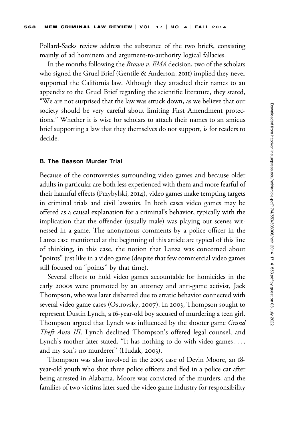Pollard-Sacks review address the substance of the two briefs, consisting mainly of ad hominem and argument-to-authority logical fallacies.

In the months following the *Brown v. EMA* decision, two of the scholars who signed the Gruel Brief (Gentile & Anderson, 2011) implied they never supported the California law. Although they attached their names to an appendix to the Gruel Brief regarding the scientific literature, they stated, ''We are not surprised that the law was struck down, as we believe that our society should be very careful about limiting First Amendment protections.'' Whether it is wise for scholars to attach their names to an amicus brief supporting a law that they themselves do not support, is for readers to decide.

#### B. The Beason Murder Trial

Because of the controversies surrounding video games and because older adults in particular are both less experienced with them and more fearful of their harmful effects (Przybylski, 2014), video games make tempting targets in criminal trials and civil lawsuits. In both cases video games may be offered as a causal explanation for a criminal's behavior, typically with the implication that the offender (usually male) was playing out scenes witnessed in a game. The anonymous comments by a police officer in the Lanza case mentioned at the beginning of this article are typical of this line of thinking, in this case, the notion that Lanza was concerned about "points" just like in a video game (despite that few commercial video games still focused on "points" by that time).

Several efforts to hold video games accountable for homicides in the early 2000s were promoted by an attorney and anti-game activist, Jack Thompson, who was later disbarred due to erratic behavior connected with several video game cases (Ostrovsky, 2007). In 2003, Thompson sought to represent Dustin Lynch, a 16-year-old boy accused of murdering a teen girl. Thompson argued that Lynch was influenced by the shooter game *Grand* Theft Auto III. Lynch declined Thompson's offered legal counsel, and Lynch's mother later stated, "It has nothing to do with video games ..., and my son's no murderer'' (Hudak, 2003).

Thompson was also involved in the 2005 case of Devin Moore, an 18 year-old youth who shot three police officers and fled in a police car after being arrested in Alabama. Moore was convicted of the murders, and the families of two victims later sued the video game industry for responsibility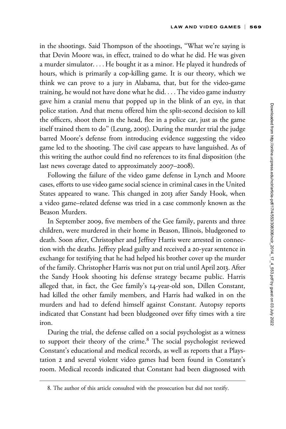in the shootings. Said Thompson of the shootings, ''What we're saying is that Devin Moore was, in effect, trained to do what he did. He was given a murder simulator. ... He bought it as a minor. He played it hundreds of hours, which is primarily a cop-killing game. It is our theory, which we think we can prove to a jury in Alabama, that, but for the video-game training, he would not have done what he did. ... The video game industry gave him a cranial menu that popped up in the blink of an eye, in that police station. And that menu offered him the split-second decision to kill the officers, shoot them in the head, flee in a police car, just as the game itself trained them to do'' (Leung, 2005). During the murder trial the judge barred Moore's defense from introducing evidence suggesting the video game led to the shooting. The civil case appears to have languished. As of this writing the author could find no references to its final disposition (the last news coverage dated to approximately 2007–2008).

Following the failure of the video game defense in Lynch and Moore cases, efforts to use video game social science in criminal cases in the United States appeared to wane. This changed in 2013 after Sandy Hook, when a video game–related defense was tried in a case commonly known as the Beason Murders.

In September 2009, five members of the Gee family, parents and three children, were murdered in their home in Beason, Illinois, bludgeoned to death. Soon after, Christopher and Jeffrey Harris were arrested in connection with the deaths. Jeffrey plead guilty and received a 20-year sentence in exchange for testifying that he had helped his brother cover up the murder of the family. Christopher Harris was not put on trial until April 2013. After the Sandy Hook shooting his defense strategy became public. Harris alleged that, in fact, the Gee family's 14-year-old son, Dillen Constant, had killed the other family members, and Harris had walked in on the murders and had to defend himself against Constant. Autopsy reports indicated that Constant had been bludgeoned over fifty times with a tire iron.

During the trial, the defense called on a social psychologist as a witness to support their theory of the crime.<sup>8</sup> The social psychologist reviewed Constant's educational and medical records, as well as reports that a Playstation 2 and several violent video games had been found in Constant's room. Medical records indicated that Constant had been diagnosed with

<sup>8.</sup> The author of this article consulted with the prosecution but did not testify.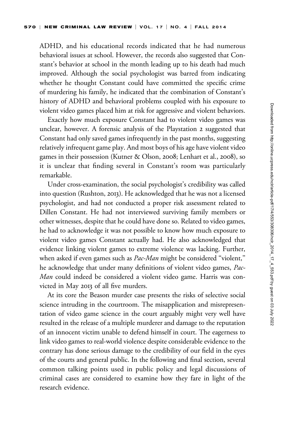ADHD, and his educational records indicated that he had numerous behavioral issues at school. However, the records also suggested that Constant's behavior at school in the month leading up to his death had much improved. Although the social psychologist was barred from indicating whether he thought Constant could have committed the specific crime of murdering his family, he indicated that the combination of Constant's history of ADHD and behavioral problems coupled with his exposure to violent video games placed him at risk for aggressive and violent behaviors.

Exactly how much exposure Constant had to violent video games was unclear, however. A forensic analysis of the Playstation 2 suggested that Constant had only saved games infrequently in the past months, suggesting relatively infrequent game play. And most boys of his age have violent video games in their possession (Kutner & Olson, 2008; Lenhart et al., 2008), so it is unclear that finding several in Constant's room was particularly remarkable.

Under cross-examination, the social psychologist's credibility was called into question (Rushton, 2013). He acknowledged that he was not a licensed psychologist, and had not conducted a proper risk assessment related to Dillen Constant. He had not interviewed surviving family members or other witnesses, despite that he could have done so. Related to video games, he had to acknowledge it was not possible to know how much exposure to violent video games Constant actually had. He also acknowledged that evidence linking violent games to extreme violence was lacking. Further, when asked if even games such as *Pac-Man* might be considered "violent," he acknowledge that under many definitions of violent video games, Pac-Man could indeed be considered a violent video game. Harris was convicted in May 2013 of all five murders.

At its core the Beason murder case presents the risks of selective social science intruding in the courtroom. The misapplication and misrepresentation of video game science in the court arguably might very well have resulted in the release of a multiple murderer and damage to the reputation of an innocent victim unable to defend himself in court. The eagerness to link video games to real-world violence despite considerable evidence to the contrary has done serious damage to the credibility of our field in the eyes of the courts and general public. In the following and final section, several common talking points used in public policy and legal discussions of criminal cases are considered to examine how they fare in light of the research evidence.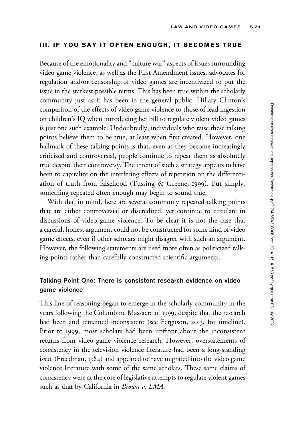# III. IF YOU SAY IT OFTEN ENOUGH, IT BECOMES TRUE

Because of the emotionality and ''culture war'' aspects of issues surrounding video game violence, as well as the First Amendment issues, advocates for regulation and/or censorship of video games are incentivized to put the issue in the starkest possible terms. This has been true within the scholarly community just as it has been in the general public. Hillary Clinton's comparison of the effects of video game violence to those of lead ingestion on children's IQ when introducing her bill to regulate violent video games is just one such example. Undoubtedly, individuals who raise these talking points believe them to be true, at least when first created. However, one hallmark of these talking points is that, even as they become increasingly criticized and controversial, people continue to repeat them as absolutely true despite their controversy. The intent of such a strategy appears to have been to capitalize on the interfering effects of repetition on the differentiation of truth from falsehood (Tussing & Greene, 1999). Put simply, something repeated often enough may begin to sound true.

With that in mind, here are several commonly repeated talking points that are either controversial or discredited, yet continue to circulate in discussions of video game violence. To be clear it is not the case that a careful, honest argument could not be constructed for some kind of video game effects, even if other scholars might disagree with such an argument. However, the following statements are used more often as politicized talking points rather than carefully constructed scientific arguments.

# Talking Point One: There is consistent research evidence on video game violence

This line of reasoning began to emerge in the scholarly community in the years following the Columbine Massacre of 1999, despite that the research had been and remained inconsistent (see Ferguson, 2013, for timeline). Prior to 1999, most scholars had been upfront about the inconsistent returns from video game violence research. However, overstatements of consistency in the television violence literature had been a long-standing issue (Freedman, 1984) and appeared to have migrated into the video game violence literature with some of the same scholars. These same claims of consistency were at the core of legislative attempts to regulate violent games such as that by California in *Brown v. EMA*.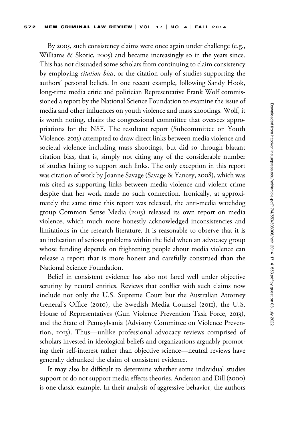By 2005, such consistency claims were once again under challenge (e.g., Williams & Skoric, 2005) and became increasingly so in the years since. This has not dissuaded some scholars from continuing to claim consistency by employing citation bias, or the citation only of studies supporting the authors' personal beliefs. In one recent example, following Sandy Hook, long-time media critic and politician Representative Frank Wolf commissioned a report by the National Science Foundation to examine the issue of media and other influences on youth violence and mass shootings. Wolf, it is worth noting, chairs the congressional committee that oversees appropriations for the NSF. The resultant report (Subcommittee on Youth Violence, 2013) attempted to draw direct links between media violence and societal violence including mass shootings, but did so through blatant citation bias, that is, simply not citing any of the considerable number of studies failing to support such links. The only exception in this report was citation of work by Joanne Savage (Savage & Yancey, 2008), which was mis-cited as supporting links between media violence and violent crime despite that her work made no such connection. Ironically, at approximately the same time this report was released, the anti-media watchdog group Common Sense Media (2013) released its own report on media violence, which much more honestly acknowledged inconsistencies and limitations in the research literature. It is reasonable to observe that it is an indication of serious problems within the field when an advocacy group whose funding depends on frightening people about media violence can release a report that is more honest and carefully construed than the National Science Foundation.

Belief in consistent evidence has also not fared well under objective scrutiny by neutral entities. Reviews that conflict with such claims now include not only the U.S. Supreme Court but the Australian Attorney General's Office (2010), the Swedish Media Counsel (2011), the U.S. House of Representatives (Gun Violence Prevention Task Force, 2013), and the State of Pennsylvania (Advisory Committee on Violence Prevention, 2013). Thus—unlike professional advocacy reviews comprised of scholars invested in ideological beliefs and organizations arguably promoting their self-interest rather than objective science—neutral reviews have generally debunked the claim of consistent evidence.

It may also be difficult to determine whether some individual studies support or do not support media effects theories. Anderson and Dill (2000) is one classic example. In their analysis of aggressive behavior, the authors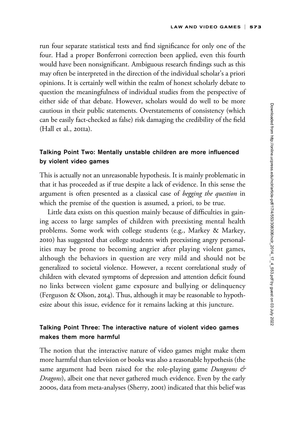run four separate statistical tests and find significance for only one of the four. Had a proper Bonferroni correction been applied, even this fourth would have been nonsignificant. Ambiguous research findings such as this may often be interpreted in the direction of the individual scholar's a priori opinions. It is certainly well within the realm of honest scholarly debate to question the meaningfulness of individual studies from the perspective of either side of that debate. However, scholars would do well to be more cautious in their public statements. Overstatements of consistency (which can be easily fact-checked as false) risk damaging the credibility of the field (Hall et al., 2011a).

# Talking Point Two: Mentally unstable children are more influenced by violent video games

This is actually not an unreasonable hypothesis. It is mainly problematic in that it has proceeded as if true despite a lack of evidence. In this sense the argument is often presented as a classical case of *begging the question* in which the premise of the question is assumed, a priori, to be true.

Little data exists on this question mainly because of difficulties in gaining access to large samples of children with preexisting mental health problems. Some work with college students (e.g., Markey & Markey, 2010) has suggested that college students with preexisting angry personalities may be prone to becoming angrier after playing violent games, although the behaviors in question are very mild and should not be generalized to societal violence. However, a recent correlational study of children with elevated symptoms of depression and attention deficit found no links between violent game exposure and bullying or delinquency (Ferguson & Olson, 2014). Thus, although it may be reasonable to hypothesize about this issue, evidence for it remains lacking at this juncture.

# Talking Point Three: The interactive nature of violent video games makes them more harmful

The notion that the interactive nature of video games might make them more harmful than television or books was also a reasonable hypothesis (the same argument had been raised for the role-playing game Dungeons  $\mathcal{O}$ Dragons), albeit one that never gathered much evidence. Even by the early 2000s, data from meta-analyses (Sherry, 2001) indicated that this belief was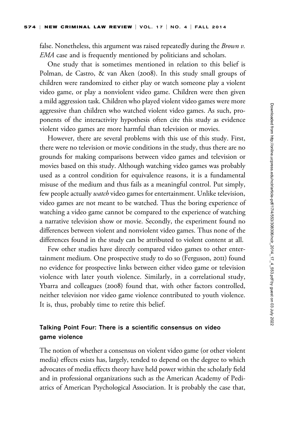false. Nonetheless, this argument was raised repeatedly during the *Brown v*. EMA case and is frequently mentioned by politicians and scholars.

One study that is sometimes mentioned in relation to this belief is Polman, de Castro, & van Aken (2008). In this study small groups of children were randomized to either play or watch someone play a violent video game, or play a nonviolent video game. Children were then given a mild aggression task. Children who played violent video games were more aggressive than children who watched violent video games. As such, proponents of the interactivity hypothesis often cite this study as evidence violent video games are more harmful than television or movies.

However, there are several problems with this use of this study. First, there were no television or movie conditions in the study, thus there are no grounds for making comparisons between video games and television or movies based on this study. Although watching video games was probably used as a control condition for equivalence reasons, it is a fundamental misuse of the medium and thus fails as a meaningful control. Put simply, few people actually *watch* video games for entertainment. Unlike television, video games are not meant to be watched. Thus the boring experience of watching a video game cannot be compared to the experience of watching a narrative television show or movie. Secondly, the experiment found no differences between violent and nonviolent video games. Thus none of the differences found in the study can be attributed to violent content at all.

Few other studies have directly compared video games to other entertainment medium. One prospective study to do so (Ferguson, 2011) found no evidence for prospective links between either video game or television violence with later youth violence. Similarly, in a correlational study, Ybarra and colleagues (2008) found that, with other factors controlled, neither television nor video game violence contributed to youth violence. It is, thus, probably time to retire this belief.

# Talking Point Four: There is a scientific consensus on video game violence

The notion of whether a consensus on violent video game (or other violent media) effects exists has, largely, tended to depend on the degree to which advocates of media effects theory have held power within the scholarly field and in professional organizations such as the American Academy of Pediatrics of American Psychological Association. It is probably the case that,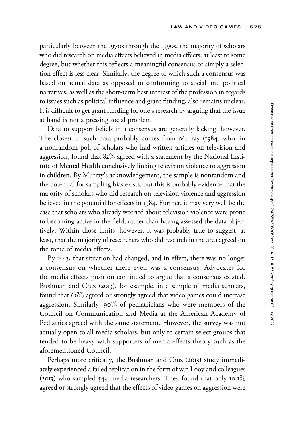particularly between the 1970s through the 1990s, the majority of scholars who did research on media effects believed in media effects, at least to some degree, but whether this reflects a meaningful consensus or simply a selection effect is less clear. Similarly, the degree to which such a consensus was based on actual data as opposed to conforming to social and political narratives, as well as the short-term best interest of the profession in regards to issues such as political influence and grant funding, also remains unclear. It is difficult to get grant funding for one's research by arguing that the issue at hand is not a pressing social problem.

Data to support beliefs in a consensus are generally lacking, however. The closest to such data probably comes from Murray (1984) who, in a nonrandom poll of scholars who had written articles on television and aggression, found that 82% agreed with a statement by the National Institute of Mental Health conclusively linking television violence to aggression in children. By Murray's acknowledgement, the sample is nonrandom and the potential for sampling bias exists, but this is probably evidence that the majority of scholars who did research on television violence and aggression believed in the potential for effects in 1984. Further, it may very well be the case that scholars who already worried about television violence were prone to becoming active in the field, rather than having assessed the data objectively. Within those limits, however, it was probably true to suggest, at least, that the majority of researchers who did research in the area agreed on the topic of media effects.

By 2013, that situation had changed, and in effect, there was no longer a consensus on whether there even was a consensus. Advocates for the media effects position continued to argue that a consensus existed. Bushman and Cruz (2013), for example, in a sample of media scholars, found that 66% agreed or strongly agreed that video games could increase aggression. Similarly, 90% of pediatricians who were members of the Council on Communication and Media at the American Academy of Pediatrics agreed with the same statement. However, the survey was not actually open to all media scholars, but only to certain select groups that tended to be heavy with supporters of media effects theory such as the aforementioned Council.

Perhaps more critically, the Bushman and Cruz (2013) study immediately experienced a failed replication in the form of van Looy and colleagues (2013) who sampled 544 media researchers. They found that only 10.1% agreed or strongly agreed that the effects of video games on aggression were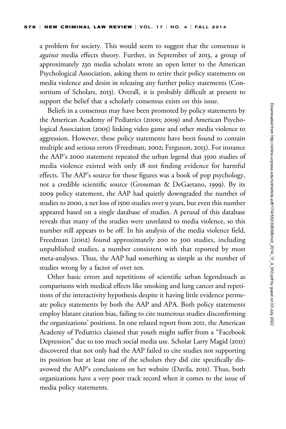a problem for society. This would seem to suggest that the consensus is against media effects theory. Further, in September of 2013, a group of approximately 230 media scholars wrote an open letter to the American Psychological Association, asking them to retire their policy statements on media violence and desist in releasing any further policy statements (Consortium of Scholars, 2013). Overall, it is probably difficult at present to support the belief that a scholarly consensus exists on this issue.

Beliefs in a consensus may have been promoted by policy statements by the American Academy of Pediatrics (2000; 2009) and American Psychological Association (2005) linking video game and other media violence to aggression. However, these policy statements have been found to contain multiple and serious errors (Freedman, 2002; Ferguson, 2013). For instance the AAP's 2000 statement repeated the urban legend that 3500 studies of media violence existed with only 18 not finding evidence for harmful effects. The AAP's source for those figures was a book of pop psychology, not a credible scientific source (Grossman & DeGaetano, 1999). By its 2009 policy statement, the AAP had quietly downgraded the number of studies to 2000, a net loss of 1500 studies over 9 years, but even this number appeared based on a single database of studies. A perusal of this database reveals that many of the studies were unrelated to media violence, so this number still appears to be off. In his analysis of the media violence field, Freedman (2002) found approximately 200 to 300 studies, including unpublished studies, a number consistent with that reported by most meta-analyses. Thus, the AAP had something as simple as the number of studies wrong by a factor of over ten.

Other basic errors and repetitions of scientific urban legendssuch as comparisons with medical effects like smoking and lung cancer and repetitions of the interactivity hypothesis despite it having little evidence permeate policy statements by both the AAP and APA. Both policy statements employ blatant citation bias, failing to cite numerous studies disconfirming the organizations' positions. In one related report from 2011, the American Academy of Pediatrics claimed that youth might suffer from a ''Facebook Depression'' due to too much social media use. Scholar Larry Magid (2011) discovered that not only had the AAP failed to cite studies not supporting its position but at least one of the scholars they did cite specifically disavowed the AAP's conclusions on her website (Davila, 2011). Thus, both organizations have a very poor track record when it comes to the issue of media policy statements.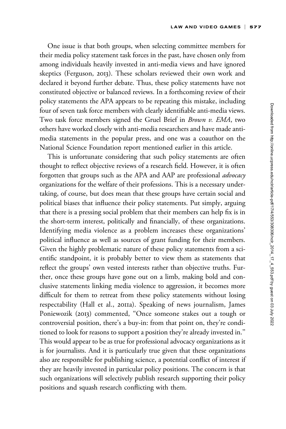One issue is that both groups, when selecting committee members for their media policy statement task forces in the past, have chosen only from among individuals heavily invested in anti-media views and have ignored skeptics (Ferguson, 2013). These scholars reviewed their own work and declared it beyond further debate. Thus, these policy statements have not constituted objective or balanced reviews. In a forthcoming review of their policy statements the APA appears to be repeating this mistake, including four of seven task force members with clearly identifiable anti-media views. Two task force members signed the Gruel Brief in Brown v. EMA, two others have worked closely with anti-media researchers and have made antimedia statements in the popular press, and one was a coauthor on the National Science Foundation report mentioned earlier in this article.

This is unfortunate considering that such policy statements are often thought to reflect objective reviews of a research field. However, it is often forgotten that groups such as the APA and AAP are professional *advocacy* organizations for the welfare of their professions. This is a necessary undertaking, of course, but does mean that these groups have certain social and political biases that influence their policy statements. Put simply, arguing that there is a pressing social problem that their members can help fix is in the short-term interest, politically and financially, of these organizations. Identifying media violence as a problem increases these organizations' political influence as well as sources of grant funding for their members. Given the highly problematic nature of these policy statements from a scientific standpoint, it is probably better to view them as statements that reflect the groups' own vested interests rather than objective truths. Further, once these groups have gone out on a limb, making bold and conclusive statements linking media violence to aggression, it becomes more difficult for them to retreat from these policy statements without losing respectability (Hall et al., 2011a). Speaking of news journalism, James Poniewozik (2013) commented, ''Once someone stakes out a tough or controversial position, there's a buy-in: from that point on, they're conditioned to look for reasons to support a position they're already invested in.'' This would appear to be as true for professional advocacy organizations as it is for journalists. And it is particularly true given that these organizations also are responsible for publishing science, a potential conflict of interest if they are heavily invested in particular policy positions. The concern is that such organizations will selectively publish research supporting their policy positions and squash research conflicting with them.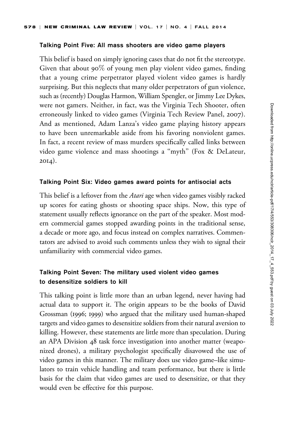### Talking Point Five: All mass shooters are video game players

This belief is based on simply ignoring cases that do not fit the stereotype. Given that about 90% of young men play violent video games, finding that a young crime perpetrator played violent video games is hardly surprising. But this neglects that many older perpetrators of gun violence, such as (recently) Douglas Harmon, William Spengler, or Jimmy Lee Dykes, were not gamers. Neither, in fact, was the Virginia Tech Shooter, often erroneously linked to video games (Virginia Tech Review Panel, 2007). And as mentioned, Adam Lanza's video game playing history appears to have been unremarkable aside from his favoring nonviolent games. In fact, a recent review of mass murders specifically called links between video game violence and mass shootings a ''myth'' (Fox & DeLateur, 2014).

### Talking Point Six: Video games award points for antisocial acts

This belief is a leftover from the *Atari* age when video games visibly racked up scores for eating ghosts or shooting space ships. Now, this type of statement usually reflects ignorance on the part of the speaker. Most modern commercial games stopped awarding points in the traditional sense, a decade or more ago, and focus instead on complex narratives. Commentators are advised to avoid such comments unless they wish to signal their unfamiliarity with commercial video games.

# Talking Point Seven: The military used violent video games to desensitize soldiers to kill

This talking point is little more than an urban legend, never having had actual data to support it. The origin appears to be the books of David Grossman (1996; 1999) who argued that the military used human-shaped targets and video games to desensitize soldiers from their natural aversion to killing. However, these statements are little more than speculation. During an APA Division 48 task force investigation into another matter (weaponized drones), a military psychologist specifically disavowed the use of video games in this manner. The military does use video game–like simulators to train vehicle handling and team performance, but there is little basis for the claim that video games are used to desensitize, or that they would even be effective for this purpose.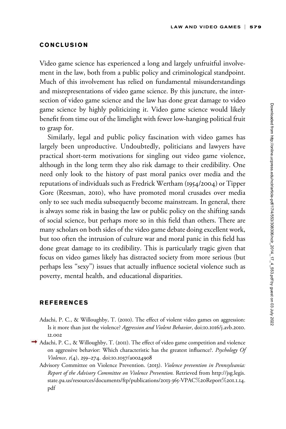### CONCLUSION

Video game science has experienced a long and largely unfruitful involvement in the law, both from a public policy and criminological standpoint. Much of this involvement has relied on fundamental misunderstandings and misrepresentations of video game science. By this juncture, the intersection of video game science and the law has done great damage to video game science by highly politicizing it. Video game science would likely benefit from time out of the limelight with fewer low-hanging political fruit to grasp for.

Similarly, legal and public policy fascination with video games has largely been unproductive. Undoubtedly, politicians and lawyers have practical short-term motivations for singling out video game violence, although in the long term they also risk damage to their credibility. One need only look to the history of past moral panics over media and the reputations of individuals such as Fredrick Wertham (1954/2004) or Tipper Gore (Reesman, 2010), who have promoted moral crusades over media only to see such media subsequently become mainstream. In general, there is always some risk in basing the law or public policy on the shifting sands of social science, but perhaps more so in this field than others. There are many scholars on both sides of the video game debate doing excellent work, but too often the intrusion of culture war and moral panic in this field has done great damage to its credibility. This is particularly tragic given that focus on video games likely has distracted society from more serious (but perhaps less ''sexy'') issues that actually influence societal violence such as poverty, mental health, and educational disparities.

### REFERENCES

- Adachi, P. C., & Willoughby, T. (2010). The effect of violent video games on aggression: Is it more than just the violence? Aggression and Violent Behavior, doi:10.1016/j.avb.2010. 12.002
- Adachi, P. C., & Willoughby, T. (2011). The effect of video game competition and violence on aggressive behavior: Which characteristic has the greatest influence?. Psychology Of Violence, 1(4), 259–274. doi:10.1037/a0024908
	- Advisory Committee on Violence Prevention. (2013). Violence prevention in Pennsylvania: Report of the Advisory Committee on Violence Prevention. Retrieved from [http://jsg.legis.](http://jsg.legis.state.pa.us/resources/documents/ftp/publications/2013-365-VPAC%20Report%201.1.14.pdf) [state.pa.us/resources/documents/ftp/publications/](http://jsg.legis.state.pa.us/resources/documents/ftp/publications/2013-365-VPAC%20Report%201.1.14.pdf)2013-365-VPAC%20[Report](http://jsg.legis.state.pa.us/resources/documents/ftp/publications/2013-365-VPAC%20Report%201.1.14.pdf)%[201](http://jsg.legis.state.pa.us/resources/documents/ftp/publications/2013-365-VPAC%20Report%201.1.14.pdf).1.14. [pdf](http://jsg.legis.state.pa.us/resources/documents/ftp/publications/2013-365-VPAC%20Report%201.1.14.pdf)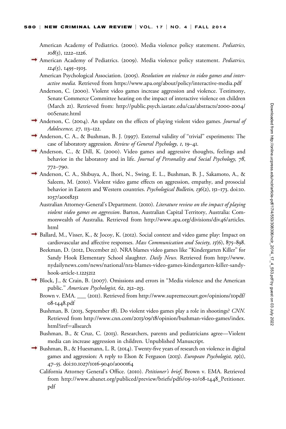- American Academy of Pediatrics. (2000). Media violence policy statement. Pediatrics,  $108(5)$ , 1222–1226.
- American Academy of Pediatrics. (2009). Media violence policy statement. Pediatrics, 124(5), 1495–1503.
	- American Psychological Association. (2005). Resolution on violence in video games and interactive media. Retrieved from<https://www.apa.org/about/policy/interactive-media.pdf>
	- Anderson, C. (2000). Violent video games increase aggression and violence. Testimony, Senate Commerce Committee hearing on the impact of interactive violence on children (March 21). Retrieved from: [http://public.psych.iastate.edu/caa/abstracts/](http://public.psych.iastate.edu/caa/abstracts/2000-2004/00Senate.html)2000-2004/ 00[Senate.html](http://public.psych.iastate.edu/caa/abstracts/2000-2004/00Senate.html)
- Anderson, C. (2004). An update on the effects of playing violent video games. *Journal of* Adolescence, 27, 113–122.
- Anderson, C. A., & Bushman, B. J. (1997). External validity of ''trivial'' experiments: The case of laboratory aggression. Review of General Psychology, 1, 19–41.
- Anderson, C., & Dill, K. (2000). Video games and aggressive thoughts, feelings and behavior in the laboratory and in life. Journal of Personality and Social Psychology, 78, 772–790.
- Anderson, C. A., Shibuya, A., Ihori, N., Swing, E. L., Bushman, B. J., Sakamoto, A., & Saleem, M. (2010). Violent video game effects on aggression, empathy, and prosocial behavior in Eastern and Western countries. Psychological Bulletin, 136(2), 151-173. doi:10. 1037/a0018251
	- Australian Attorney-General's Department. (2010). Literature review on the impact of playing violent video games on aggression. Barton, Australian Capital Territory, Australia: Commonwealth of Australia. Retrieved from [http://www.apa.org/divisions/div](http://www.apa.org/divisions/div46/articles.html)46/articles. [html](http://www.apa.org/divisions/div46/articles.html)
- $\rightarrow$  Ballard, M., Visser, K., & Jocoy, K. (2012). Social context and video game play: Impact on cardiovascular and affective responses. Mass Communication and Society,  $I_5(6)$ ,  $875-898$ .
	- Beekman, D. (2012, December 21). NRA blames video games like ''Kindergarten Killer'' for Sandy Hook Elementary School slaughter. Daily News. Retrieved from [http://www.](http://www.nydailynews.com/news/national/nra-blames-video-games-kindergarten-killer-sandy-hook-article-1.1225212) [nydailynews.com/news/national/nra-blames-video-games-kindergarten-killer-sandy](http://www.nydailynews.com/news/national/nra-blames-video-games-kindergarten-killer-sandy-hook-article-1.1225212)[hook-article-](http://www.nydailynews.com/news/national/nra-blames-video-games-kindergarten-killer-sandy-hook-article-1.1225212)1.1225212
- $\rightarrow$  Block, J., & Crain, B. (2007). Omissions and errors in "Media violence and the American public.'' American Psychologist, 62, 252–253.
	- Brown v. EMA. \_\_\_ (2011). Retrieved from [http://www.supremecourt.gov/opinions/](http://www.supremecourt.gov/opinions/10pdf/08-1448.pdf)10pdf/ 08-1448[.pdf](http://www.supremecourt.gov/opinions/10pdf/08-1448.pdf)
	- Bushman, B. (2013, September 18). Do violent video games play a role in shootings? CNN. Retrieved from http://www.cnn.com/2013/09/18[/opinion/bushman-video-games/index.](http://www.cnn.com/2013/09/18/opinion/bushman-video-games/index.html?iref=allsearch) [html?iref](http://www.cnn.com/2013/09/18/opinion/bushman-video-games/index.html?iref=allsearch)=[allsearch](http://www.cnn.com/2013/09/18/opinion/bushman-video-games/index.html?iref=allsearch)
	- Bushman, B., & Cruz, C. (2013). Researchers, parents and pediatricians agree—Violent media can increase aggression in children. Unpublished Manuscript.
- Bushman, B., & Huesmann, L. R. (2014). Twenty-five years of research on violence in digital games and aggression: A reply to Elson & Ferguson (2013). European Psychologist, 19(1), 47–55. doi:10.1027/1016-9040/a000164
	- California Attorney General's Office. (2010). Petitioner's brief, Brown v. EMA. Retrieved from [http://www.abanet.org/publiced/preview/briefs/pdfs/](http://www.abanet.org/publiced/preview/briefs/pdfs/09-10/08-1448_Petitioner.pdf)09-10/08-1448\_Petitioner. [pdf](http://www.abanet.org/publiced/preview/briefs/pdfs/09-10/08-1448_Petitioner.pdf)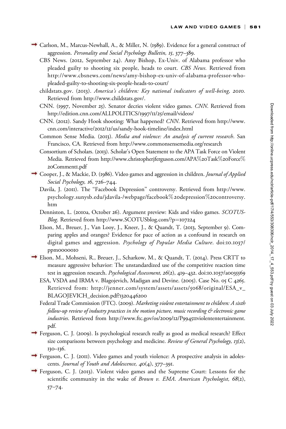- Carlson, M., Marcus-Newhall, A., & Miller, N. (1989). Evidence for a general construct of aggression. Personality and Social Psychology Bulletin, 15, 377-389.
	- CBS News. (2012, September 24). Amy Bishop, Ex-Univ. of Alabama professor who pleaded guilty to shooting six people, heads to court. CBS News. Retrieved from [http://www.cbsnews.com/news/amy-bishop-ex-univ-of-alabama-professor-who](http://www.cbsnews.com/news/amy-bishop-ex-univ-of-alabama-professor-who-pleaded-guilty-to-shooting-six-people-heads-to-court/)[pleaded-guilty-to-shooting-six-people-heads-to-court/](http://www.cbsnews.com/news/amy-bishop-ex-univ-of-alabama-professor-who-pleaded-guilty-to-shooting-six-people-heads-to-court/)
	- childstats.gov. (2013). America's children: Key national indicators of well-being, 2010. Retrieved from http://www.childstats.gov/.
	- CNN. (1997, November 25). Senator decries violent video games. CNN. Retrieved from [http://edition.cnn.com/ALLPOLITICS/](http://edition.cnn.com/ALLPOLITICS/1997/11/25/email/videos/)1997/11/25/email/videos/
	- CNN. (2012). Sandy Hook shooting: What happened? CNN. Retrieved from [http://www.](http://www.cnn.com/interactive/2012/12/us/sandy-hook-timeline/index.html) cnn.com/interactive/2012/12[/us/sandy-hook-timeline/index.html](http://www.cnn.com/interactive/2012/12/us/sandy-hook-timeline/index.html)
	- Common Sense Media. (2013). Media and violence: An analysis of current research. San Francisco, CA. Retrieved from<http://www.commonsensemedia.org/research>
	- Consortium of Scholars. (2013). Scholar's Open Statement to the APA Task Force on Violent Media. Retrieved from [http://www.christopherjferguson.com/APA](http://www.christopherjferguson.com/APA%20Task%20Force%20Comment1.pdf)%20[Task](http://www.christopherjferguson.com/APA%20Task%20Force%20Comment1.pdf)%20[Force](http://www.christopherjferguson.com/APA%20Task%20Force%20Comment1.pdf)% 20[Comment](http://www.christopherjferguson.com/APA%20Task%20Force%20Comment1.pdf)1.pdf
- Cooper, J., & Mackie, D. (1986). Video games and aggression in children. *Journal of Applied* Social Psychology, 16, 726–744.
	- Davila, J. (2011). The ''Facebook Depression'' controversy. Retrieved from [http://www.](http://www.psychology.sunysb.edu/jdavila-/webpage/facebook%20depression%20controversy.htm) [psychology.sunysb.edu/jdavila-/webpage/facebook](http://www.psychology.sunysb.edu/jdavila-/webpage/facebook%20depression%20controversy.htm)%20[depression](http://www.psychology.sunysb.edu/jdavila-/webpage/facebook%20depression%20controversy.htm)%20[controversy.](http://www.psychology.sunysb.edu/jdavila-/webpage/facebook%20depression%20controversy.htm) [htm](http://www.psychology.sunysb.edu/jdavila-/webpage/facebook%20depression%20controversy.htm)
	- Denniston, L. (2010a, October 26). Argument preview: Kids and video games. SCOTUSBlog. Retrieved from [http://www.SCOTUSblog.com/?p](http://www.SCOTUSblog.com/?p=107224)=[107224](http://www.SCOTUSblog.com/?p=107224)
	- Elson, M., Breuer, J., Van Looy, J., Kneer, J., & Quandt, T. (2013, September 9). Comparing apples and oranges? Evidence for pace of action as a confound in research on digital games and aggression. Psychology of Popular Media Culture. doi:10.1037/ ppm0000010
- $\rightarrow$  Elson, M., Mohseni, R., Breuer, J., Scharkow, M., & Quandt, T. (2014). Press CRTT to measure aggressive behavior: The unstandardized use of the competitive reaction time test in aggression research. Psychological Assessment, 26(2), 419-432. doi:10.1037/a0035569
	- ESA, VSDA and IRMA v. Blagojevich, Madigan and Devine. (2005). Case No. 05 C 4265. Retrieved from: [http://jenner.com/system/assets/assets/](http://jenner.com/system/assets/assets/5068/original/ESA_v_BLAGOJEVICH_decision.pdf?1320446200)5068/original/ESA\_v\_ [BLAGOJEVICH\\_decision.pdf?](http://jenner.com/system/assets/assets/5068/original/ESA_v_BLAGOJEVICH_decision.pdf?1320446200)1320446200
	- Federal Trade Commission (FTC). (2009). Marketing violent entertainment to children: A sixth follow-up review of industry practices in the motion picture, music recording  $\phi$  electronic game industries. Retrieved from [http://www.ftc.gov/os/](http://www.ftc.gov/os/2009/12/P994511violententertainment.pdf)2009/12/P994511violententertainment. [pdf](http://www.ftc.gov/os/2009/12/P994511violententertainment.pdf).
- Ferguson, C. J. (2009). Is psychological research really as good as medical research? Effect size comparisons between psychology and medicine. Review of General Psychology, 13(2), 130–136.
- $\rightarrow$  Ferguson, C. J. (2011). Video games and youth violence: A prospective analysis in adolescents. Journal of Youth and Adolescence, 40(4), 377-391.
- Ferguson, C. J. (2013). Violent video games and the Supreme Court: Lessons for the scientific community in the wake of Brown v. EMA. American Psychologist,  $68(2)$ , 57–74.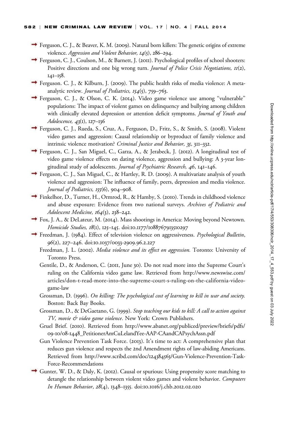- Ferguson, C. J., & Beaver, K. M. (2009). Natural born killers: The genetic origins of extreme violence. Aggression and Violent Behavior, 14(5), 286–294.
- Ferguson, C. J., Coulson, M., & Barnett, J. (2011). Psychological profiles of school shooters: Positive directions and one big wrong turn. Journal of Police Crisis Negotiations, 11(2), 141–158.
- Ferguson. C. J., & Kilburn, J. (2009). The public health risks of media violence: A metaanalytic review. *Journal of Pediatrics*,  $I54(5)$ ,  $759-763$ .
- Ferguson, C. J., & Olson, C. K. (2014). Video game violence use among ''vulnerable'' populations: The impact of violent games on delinquency and bullying among children with clinically elevated depression or attention deficit symptoms. Journal of Youth and Adolescence, 43(1), 127–136
- Ferguson, C. J., Rueda, S., Cruz, A., Ferguson, D., Fritz, S., & Smith, S. (2008). Violent video games and aggression: Causal relationship or byproduct of family violence and intrinsic violence motivation? Criminal Justice and Behavior, 35, 311-332.
- Ferguson, C. J., San Miguel, C., Garza, A., & Jerabeck, J. (2012). A longitudinal test of video game violence effects on dating violence, aggression and bullying: A 3-year longitudinal study of adolescents. Journal of Psychiatric Research, 46, 141-146.
- Ferguson, C. J., San Miguel, C., & Hartley, R. D. (2009). A multivariate analysis of youth violence and aggression: The influence of family, peers, depression and media violence. Journal of Pediatrics, 155(6), 904–908.
- Finkelhor, D., Turner, H., Ormrod, R., & Hamby, S. (2010). Trends in childhood violence and abuse exposure: Evidence from two national surveys. Archives of Pediatric and Adolescent Medicine, 164(3), 238–242.
- $\rightarrow$  Fox, J. A., & DeLateur, M. (2014). Mass shootings in America: Moving beyond Newtown. Homicide Studies, 18(1), 125-145. doi:10.1177/1088767913510297
- Freedman, J. (1984). Effect of television violence on aggressiveness. Psychological Bulletin, 96(2), 227–246. doi:10.1037/0033-2909.96.2.227
	- Freedman, J. L. (2002). Media violence and its effect on aggression. Toronto: University of Toronto Press.
	- Gentile, D., & Anderson, C. (2011, June 30). Do not read more into the Supreme Court's ruling on the California video game law. Retrieved from [http://www.newswise.com/](http://www.newswise.com/articles/don-t-read-more-into-the-supreme-court-s-ruling-on-the-california-video-game-law) [articles/don-t-read-more-into-the-supreme-court-s-ruling-on-the-california-video](http://www.newswise.com/articles/don-t-read-more-into-the-supreme-court-s-ruling-on-the-california-video-game-law)[game-law](http://www.newswise.com/articles/don-t-read-more-into-the-supreme-court-s-ruling-on-the-california-video-game-law)
	- Grossman, D. (1996). On killing: The psychological cost of learning to kill in war and society. Boston: Back Bay Books.
	- Grossman, D., & DeGaetano, G. (1999). Stop teaching our kids to kill: A call to action against TV, movie & video game violence. New York: Crown Publishers.
	- Gruel Brief. (2010). Retrieved from [http://www.abanet.org/publiced/preview/briefs/pdfs/](http://www.abanet.org/publiced/preview/briefs/pdfs/09-10/08-1448_PetitionerAmCuLelandYee-AAP-CAandCAPsychAssn.pdf) 09-10/08-1448[\\_PetitionerAmCuLelandYee-AAP-CAandCAPsychAssn.pdf](http://www.abanet.org/publiced/preview/briefs/pdfs/09-10/08-1448_PetitionerAmCuLelandYee-AAP-CAandCAPsychAssn.pdf)
	- Gun Violence Prevention Task Force. (2013). It's time to act: A comprehensive plan that reduces gun violence and respects the 2nd Amendment rights of law-abiding Americans. Retrieved from http://www.scribd.com/doc/124384563[/Gun-Violence-Prevention-Task-](http://www.scribd.com/doc/124384563/Gun-Violence-Prevention-Task-Force-Recommendations)[Force-Recommendations](http://www.scribd.com/doc/124384563/Gun-Violence-Prevention-Task-Force-Recommendations)
- Gunter, W. D., & Daly, K. (2012). Causal or spurious: Using propensity score matching to detangle the relationship between violent video games and violent behavior. Computers In Human Behavior, 28(4), 1348–1355. doi:10.1016/j.chb.2012.02.020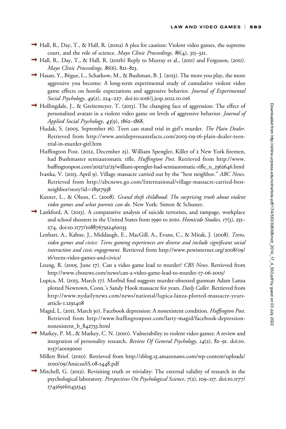- Hall, R., Day, T., & Hall, R. (2011a) A plea for caution: Violent video games, the supreme court, and the role of science. Mayo Clinic Proceedings,  $86(4)$ ,  $315-321$ .
- $\rightarrow$  Hall, R., Day, T., & Hall, R. (2011b) Reply to Murray et al., (2011) and Ferguson, (2011). Mayo Clinic Proceedings, 86(6), 821-823.
- $\rightarrow$  Hasan, Y., Bègue, L., Scharkow, M., & Bushman, B. J. (2013). The more you play, the more aggressive you become: A long-term experimental study of cumulative violent video game effects on hostile expectations and aggressive behavior. Journal of Experimental Social Psychology, 49(2), 224–227. doi:10.1016/j.jesp.2012.10.016
- $\rightarrow$  Hollingdale, J., & Greitemeyer, T. (2013). The changing face of aggression: The effect of personalized avatars in a violent video game on levels of aggressive behavior. *Journal of* Applied Social Psychology, 43(9), 1862–1868.
	- Hudak, S. (2003, September 16). Teen can stand trial in girl's murder. The Plain Dealer. Retrieved from [http://www.antidepressantsfacts.com/](http://www.antidepressantsfacts.com/2003-09-16-plain-dealer-teen-trial-in-murder-girl.htm)2003-09-16-plain-dealer-teen[trial-in-murder-girl.htm](http://www.antidepressantsfacts.com/2003-09-16-plain-dealer-teen-trial-in-murder-girl.htm)
	- Huffington Post. (2012, December 25). William Spengler, Killer of 2 New York firemen, had Bushmaster semiautomatic rifle. *Huffington Post*. Retrieved from [http://www.](http://www.huffingtonpost.com/2012/12/25/william-spengler-had-semiautomatic-rifle_n_2362646.html) huffingtonpost.com/2012/12/25[/william-spengler-had-semiautomatic-rifle\\_n\\_](http://www.huffingtonpost.com/2012/12/25/william-spengler-had-semiautomatic-rifle_n_2362646.html)2362646.html
	- Ivanka, V. (2013, April 9). Village massacre carried out by the "best neighbor." ABC News. Retrieved from [http://abcnews.go.com/International/village-massacre-carried-best](http://abcnews.go.com/International/village-massacre-carried-best-neighbor/story?id=18917938)[neighbor/story?id](http://abcnews.go.com/International/village-massacre-carried-best-neighbor/story?id=18917938)=[18917938](http://abcnews.go.com/International/village-massacre-carried-best-neighbor/story?id=18917938)
	- Kutner, L., & Olson, C. (2008). Grand theft childhood: The surprising truth about violent video games and what parents can do. New York: Simon & Schuster.
- $\rightarrow$  Lankford, A. (2013). A comparative analysis of suicide terrorists, and rampage, workplace and school shooters in the United States from 1990 to 2010. Homicide Studies, 17(3), 255– 274. doi:10.1177/1088767912462033
	- Lenhart, A., Kahne, J., Middaugh, E., MacGill, A., Evans, C., & Mitak, J. (2008). Teens, video games and civics: Teens gaming experiences are diverse and include significant social interaction and civic engagement. Retrieved from [http://www.pewinternet.org/](http://www.pewinternet.org/2008/09/16/teens-video-games-and-civics/)2008/09/ 16[/teens-video-games-and-civics/](http://www.pewinternet.org/2008/09/16/teens-video-games-and-civics/)
	- Leung, R. (2005, June 17). Can a video game lead to murder? CBS News. Retrieved from [http://www.cbsnews.com/news/can-a-video-game-lead-to-murder-](http://www.cbsnews.com/news/can-a-video-game-lead-to-murder-17-06-2005/)17-06-2005/
	- Lupica, M. (2013, March 17). Morbid find suggests murder-obsessed gunman Adam Lanza plotted Newtown, Conn.'s Sandy Hook massacre for years. Daily Caller. Retrieved from [http://www.nydailynews.com/news/national/lupica-lanza-plotted-massacre-years](http://www.nydailynews.com/news/national/lupica-lanza-plotted-massacre-years-article-1.1291408)[article-](http://www.nydailynews.com/news/national/lupica-lanza-plotted-massacre-years-article-1.1291408)1.1291408
	- Magid, L. (2011, March 30). Facebook depression: A nonexistent condition. Huffington Post. Retrieved from [http://www.huffingtonpost.com/larry-magid/facebook-depression](http://www.huffingtonpost.com/larry-magid/facebook-depression-nonexistent_b_842733.html)[nonexistent\\_b\\_](http://www.huffingtonpost.com/larry-magid/facebook-depression-nonexistent_b_842733.html)842733.html
- $\rightarrow$  Markey, P. M., & Markey, C. N. (2010). Vulnerability to violent video games: A review and integration of personality research. Review Of General Psychology, 14(2), 82-91. doi:10. 1037/a0019000
	- Millett Brief. (2010). Retrieved from http://sblog.s3[.amazonaws.com/wp-content/uploads/](http://sblog.s3.amazonaws.com/wp-content/uploads/2010/09/AmicusSS.08-1448.pdf) 2010/09[/AmicusSS.](http://sblog.s3.amazonaws.com/wp-content/uploads/2010/09/AmicusSS.08-1448.pdf)08-1448.pdf
- $\rightarrow$  Mitchell, G. (2012). Revisiting truth or triviality: The external validity of research in the psychological laboratory. Perspectives On Psychological Science, 7(2), 109-117. doi:10.1177/ 1745691611432343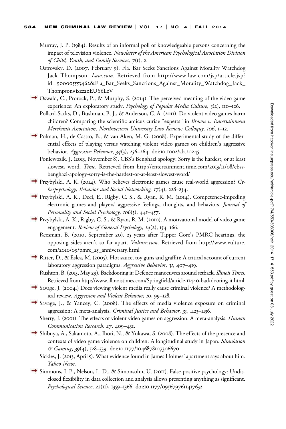- Murray, J. P. (1984). Results of an informal poll of knowledgeable persons concerning the impact of television violence. Newsletter of the American Psychological Association Division of Child, Youth, and Family Services, 7(1), 2.
- Ostrovsky, D. (2007, February 9). Fla. Bar Seeks Sanctions Against Morality Watchdog Jack Thompson. Law.com. Retrieved from [http://www.law.com/jsp/article.jsp?](http://www.law.com/jsp/article.jsp? id=900005553462&Fla_Bar_Seeks_Sanctions_Against_Morality_Watchdog_Jack_Thompson#ixzz2oEUY6LeV) [id](http://www.law.com/jsp/article.jsp? id=900005553462&Fla_Bar_Seeks_Sanctions_Against_Morality_Watchdog_Jack_Thompson#ixzz2oEUY6LeV)¼900005553462[&Fla\\_Bar\\_Seeks\\_Sanctions\\_Against\\_Morality\\_Watchdog\\_Jack\\_](http://www.law.com/jsp/article.jsp? id=900005553462&Fla_Bar_Seeks_Sanctions_Against_Morality_Watchdog_Jack_Thompson#ixzz2oEUY6LeV) [Thompson#ixzz](http://www.law.com/jsp/article.jsp? id=900005553462&Fla_Bar_Seeks_Sanctions_Against_Morality_Watchdog_Jack_Thompson#ixzz2oEUY6LeV)2oEUY6LeV
- $\rightarrow$  Oswald, C., Prorock, P., & Murphy, S. (2014). The perceived meaning of the video game experience: An exploratory study. Psychology of Popular Media Culture, 3(2), 110-126.
	- Pollard-Sacks, D., Bushman, B. J., & Anderson, C. A. (2011). Do violent video games harm children? Comparing the scientific amicus curiae "experts" in *Brown v. Entertainment* Merchants Association. Northwestern University Law Review: Colloquy, 106, 1–12.
- $\rightarrow$  Polman, H., de Castro, B., & van Aken, M. G. (2008). Experimental study of the differential effects of playing versus watching violent video games on children's aggressive behavior. Aggressive Behavior, 34(3), 256–264. doi:10.1002/ab.20245
	- Poniewozik, J. (2013, November 8). CBS's Benghazi apology: Sorry is the hardest, or at least slowest, word. Time. Retrieved from [http://entertainment.time.com/](http://entertainment.time.com/2013/11/08/cbss-benghazi-apology-sorry-is-the-hardest-or-at-least-slowest-word/)2013/11/08/cbss[benghazi-apology-sorry-is-the-hardest-or-at-least-slowest-word/](http://entertainment.time.com/2013/11/08/cbss-benghazi-apology-sorry-is-the-hardest-or-at-least-slowest-word/)
- Przybylski, A. K. (2014). Who believes electronic games cause real-world aggression? Cyberpsychology, Behavior and Social Networking, 17(4), 228–234.
- Przybylski, A. K., Deci, E., Rigby, C. S., & Ryan, R. M. (2014). Competence-impeding electronic games and players' aggressive feelings, thoughts, and behaviors. Journal of Personality and Social Psychology, 106(3), 441–457.
- Przybylski, A. K., Rigby, C. S., & Ryan, R. M. (2010). A motivational model of video game engagement. Review of General Psychology, 14(2), 154-166.
	- Reesman, B. (2010, September 20). 25 years after Tipper Gore's PMRC hearings, the opposing sides aren't so far apart. Vulture.com. Retrieved from [http://www.vulture.](http://www.vulture.com/2010/09/pmrc_25_anniversary.html) com/2010/09/pmrc\_25[\\_anniversary.html](http://www.vulture.com/2010/09/pmrc_25_anniversary.html)
- Ritter, D., & Eslea, M. (2005). Hot sauce, toy guns and graffiti: A critical account of current laboratory aggression paradigms. Aggressive Behavior, 31, 407-419.
	- Rushton, B. (2013, May 29). Backdooring it: Defence manoeuvres around setback. Illinois Times. Retrieved from http://www.illinoistimes.com/Springfield/article-11440-backdooring-it.html
- $\rightarrow$  Savage, J. (2004.) Does viewing violent media really cause criminal violence? A methodological review. Aggression and Violent Behavior, 10, 99-128.
- $\rightarrow$  Savage, J., & Yancey, C. (2008). The effects of media violence exposure on criminal aggression: A meta-analysis. Criminal Justice and Behavior, 35, 1123-1136.
	- Sherry, J. (2001). The effects of violent video games on aggression: A meta-analysis. Human Communication Research, 27, 409–431.
- $\rightarrow$  Shibuya, A., Sakamoto, A., Ihori, N., & Yukawa, S. (2008). The effects of the presence and contexts of video game violence on children: A longitudinal study in Japan. Simulation & Gaming, 39(4), 528–539. doi:10.1177/1046878107306670
	- Sickles, J. (2013, April 5). What evidence found in James Holmes' apartment says about him. Yahoo News.
- $\rightarrow$  Simmons, J. P., Nelson, L. D., & Simonsohn, U. (2011). False-positive psychology: Undisclosed flexibility in data collection and analysis allows presenting anything as significant. Psychological Science, 22(11), 1359–1366. doi:10.1177/0956797611417632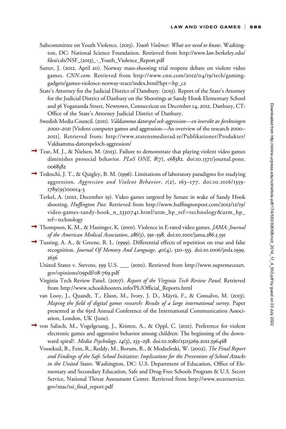- Subcommittee on Youth Violence. (2013). Youth Violence: What we need to know. Washington, DC: National Science Foundation. Retrieved from [http://www.law.berkeley.edu/](http://www.law.berkeley.edu/files/csls/NSF_(2013)_-_Youth_Violence_Report.pdf) files/csls/NSF\_(2013[\)\\_-\\_Youth\\_Violence\\_Report.pdf](http://www.law.berkeley.edu/files/csls/NSF_(2013)_-_Youth_Violence_Report.pdf)
- Sutter, J. (2012, April 20). Norway mass-shooting trial reopens debate on violent video games. CNN.com. Retrieved from [http://www.cnn.com/](http://www.cnn.com/2012/04/19/tech/gaming-gadgets/games-violence-norway-react/index.html?hpt=hp_c2)2012/04/19/tech/gaming[gadgets/games-violence-norway-react/index.html?hpt](http://www.cnn.com/2012/04/19/tech/gaming-gadgets/games-violence-norway-react/index.html?hpt=hp_c2)=[hp\\_c](http://www.cnn.com/2012/04/19/tech/gaming-gadgets/games-violence-norway-react/index.html?hpt=hp_c2)2
- State's Attorney for the Judicial District of Dansbury. (2013). Report of the State's Attorney for the Judicial District of Danbury on the Shootings at Sandy Hook Elementary School and 36 Yogananda Street, Newtown, Connecticut on December 14, 2012. Danbury, CT: Office of the State's Attorney Judicial District of Danbury.
- Swedish Media Council. (2011). Våldsamma datorspel och aggression—en översikt av forskningen 2000–2011 [Violent computer games and aggression—An overview of the research 2000– 2011]. Retrieved from: [http://www.statensmedierad.se/Publikationer/Produkter/](http://www.statensmedierad.se/Publikationer/Produkter/Valdsamma-datorspeloch-aggression/) [Valdsamma-datorspeloch-aggression/](http://www.statensmedierad.se/Publikationer/Produkter/Valdsamma-datorspeloch-aggression/)
- → Tear, M. J., & Nielsen, M. (2013). Failure to demonstrate that playing violent video games diminishes prosocial behavior. PLoS ONE, 8(7), e68382. doi:10.1371/journal.pone. 0068382
- → Tedeschi, J. T., & Quigley, B. M. (1996). Limitations of laboratory paradigms for studying aggression. Aggression and Violent Behavior, 1(2), 163-177. doi:10.1016/1359-1789(95)00014-3
	- Terkel, A. (2012, December 19). Video games targeted by Senate in wake of Sandy Hook shooting. Huffington Post. Retrieved from [http://www.huffingtonpost.com/](http://www.huffingtonpost.com/2012/12/19/video-games-sandy-hook_n_2330741.html?utm_hp_ref=technology&utm_hp_ref=technology)2012/12/19/ [video-games-sandy-hook\\_n\\_](http://www.huffingtonpost.com/2012/12/19/video-games-sandy-hook_n_2330741.html?utm_hp_ref=technology&utm_hp_ref=technology)2330741.html?utm\_hp\_ref=[technology&utm\\_hp\\_](http://www.huffingtonpost.com/2012/12/19/video-games-sandy-hook_n_2330741.html?utm_hp_ref=technology&utm_hp_ref=technology) [ref](http://www.huffingtonpost.com/2012/12/19/video-games-sandy-hook_n_2330741.html?utm_hp_ref=technology&utm_hp_ref=technology)=[technology](http://www.huffingtonpost.com/2012/12/19/video-games-sandy-hook_n_2330741.html?utm_hp_ref=technology&utm_hp_ref=technology)
- Thompson, K. M., & Haninger, K. (2001). Violence in E-rated video games. *JAMA: Journal* of the American Medical Association, 286(5), 591–598. doi:10.1001/jama.286.5.591
- $\rightarrow$  Tussing, A. A., & Greene, R. L. (1999). Differential effects of repetition on true and false recognition. Journal Of Memory And Language, 40(4), 520–533. doi:10.1006/jmla.1999. 2636
	- United States v. Stevens, 599 U.S. \_\_\_ (2010). Retrieved from [http://www.supremecourt.](http://www.supremecourt.gov/opinions/09pdf/08-769.pdf) [gov/opinions/](http://www.supremecourt.gov/opinions/09pdf/08-769.pdf)09pdf/08-769.pdf
	- Virginia Tech Review Panel. (2007). Report of the Virginia Tech Review Panel. Retrieved from http://www.schoolshooters.info/PL/Official\_Reports.html
	- van Looy, J., Quandt, T., Elson, M., Ivory, J. D., Mäyrä, F., & Consalvo, M. (2013). Maping the field of digital games research: Results of a large international survey. Paper presented at the 63rd Annual Conference of the International Communication Association, London, UK (June).
- von Salisch, M., Vogelgesang, J., Kristen, A., & Oppl, C. (2011). Preference for violent electronic games and aggressive behavior among children: The beginning of the downward spiral?. Media Psychology, 14(3), 233-258. doi:10.1080/15213269.2011.596468
	- Vossekuil, B., Fein, R., Reddy, M., Borum, R., & Modzeleski, W. (2002). The Final Report and Findings of the Safe School Initiative: Implications for the Prevention of School Attacks in the United States. Washington, DC: U.S. Department of Education, Office of Elementary and Secondary Education, Safe and Drug-Free Schools Program & U.S. Secret Service, National Threat Assessment Center. Retrieved from [http://www.secretservice.](http://www.secretservice.gov/ntac/ssi_final_report.pdf) [gov/ntac/ssi\\_final\\_report.pdf](http://www.secretservice.gov/ntac/ssi_final_report.pdf)